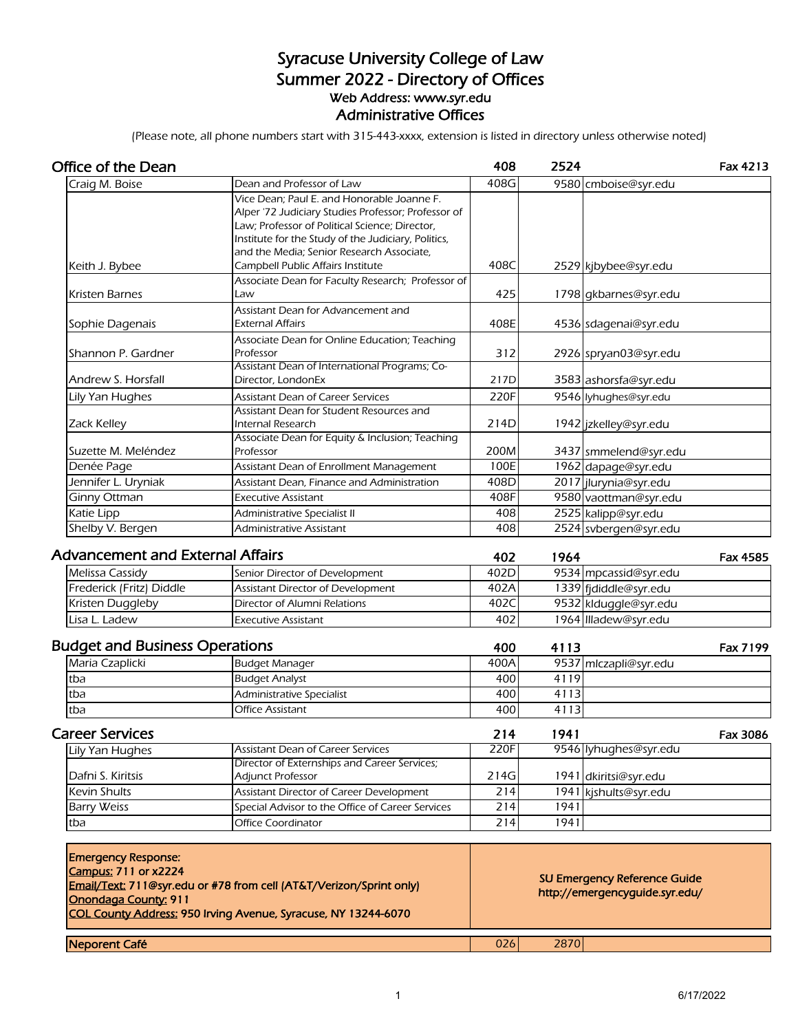## Syracuse University College of Law Summer 2022 - Directory of Offices Web Address: www.syr.edu Administrative Offices

(Please note, all phone numbers start with 315-443-xxxx, extension is listed in directory unless otherwise noted)

| <b>Office of the Dean</b>                                                         |                                                                                                                                                                                                                                                                                              | 408  | 2524 |                                                                       | Fax 4213        |
|-----------------------------------------------------------------------------------|----------------------------------------------------------------------------------------------------------------------------------------------------------------------------------------------------------------------------------------------------------------------------------------------|------|------|-----------------------------------------------------------------------|-----------------|
| Craig M. Boise                                                                    | Dean and Professor of Law                                                                                                                                                                                                                                                                    | 408G |      | 9580 cmboise@syr.edu                                                  |                 |
| Keith J. Bybee                                                                    | Vice Dean; Paul E. and Honorable Joanne F.<br>Alper '72 Judiciary Studies Professor; Professor of<br>Law; Professor of Political Science; Director,<br>Institute for the Study of the Judiciary, Politics,<br>and the Media; Senior Research Associate,<br>Campbell Public Affairs Institute | 408C |      | 2529 kjbybee@syr.edu                                                  |                 |
|                                                                                   | Associate Dean for Faculty Research; Professor of                                                                                                                                                                                                                                            |      |      |                                                                       |                 |
| <b>Kristen Barnes</b>                                                             | Law                                                                                                                                                                                                                                                                                          | 425  |      | 1798 gkbarnes@syr.edu                                                 |                 |
| Sophie Dagenais                                                                   | Assistant Dean for Advancement and<br><b>External Affairs</b>                                                                                                                                                                                                                                | 408E |      | 4536 sdagenai@syr.edu                                                 |                 |
|                                                                                   | Associate Dean for Online Education; Teaching                                                                                                                                                                                                                                                |      |      |                                                                       |                 |
| Shannon P. Gardner                                                                | Professor                                                                                                                                                                                                                                                                                    | 312  |      | 2926 spryan03@syr.edu                                                 |                 |
|                                                                                   | Assistant Dean of International Programs; Co-                                                                                                                                                                                                                                                |      |      |                                                                       |                 |
| Andrew S. Horsfall                                                                | Director, LondonEx                                                                                                                                                                                                                                                                           | 217D |      | 3583 ashorsfa@syr.edu                                                 |                 |
| Lily Yan Hughes                                                                   | Assistant Dean of Career Services                                                                                                                                                                                                                                                            | 220F |      | 9546 lyhughes@syr.edu                                                 |                 |
| Zack Kelley                                                                       | Assistant Dean for Student Resources and<br>Internal Research                                                                                                                                                                                                                                | 214D |      | 1942 jzkelley@syr.edu                                                 |                 |
|                                                                                   | Associate Dean for Equity & Inclusion; Teaching                                                                                                                                                                                                                                              |      |      |                                                                       |                 |
| Suzette M. Meléndez                                                               | Professor                                                                                                                                                                                                                                                                                    | 200M |      | 3437 smmelend@syr.edu                                                 |                 |
| Denée Page                                                                        | Assistant Dean of Enrollment Management                                                                                                                                                                                                                                                      | 100E |      | 1962 dapage@syr.edu                                                   |                 |
| Jennifer L. Uryniak                                                               | Assistant Dean, Finance and Administration                                                                                                                                                                                                                                                   | 408D |      | 2017 jlurynia@syr.edu                                                 |                 |
| Ginny Ottman                                                                      | <b>Executive Assistant</b>                                                                                                                                                                                                                                                                   | 408F |      | 9580 vaottman@syr.edu                                                 |                 |
| Katie Lipp                                                                        | Administrative Specialist II                                                                                                                                                                                                                                                                 | 408  |      | 2525 kalipp@syr.edu                                                   |                 |
| Shelby V. Bergen                                                                  | Administrative Assistant                                                                                                                                                                                                                                                                     | 408  |      | 2524 svbergen@syr.edu                                                 |                 |
| <b>Advancement and External Affairs</b>                                           |                                                                                                                                                                                                                                                                                              | 402  | 1964 |                                                                       | <b>Fax 4585</b> |
| Melissa Cassidy                                                                   | Senior Director of Development                                                                                                                                                                                                                                                               | 402D |      | 9534 mpcassid@syr.edu                                                 |                 |
| Frederick (Fritz) Diddle                                                          | Assistant Director of Development                                                                                                                                                                                                                                                            | 402A |      | 1339 fjdiddle@syr.edu                                                 |                 |
| Kristen Duggleby                                                                  | Director of Alumni Relations                                                                                                                                                                                                                                                                 | 402C |      | 9532 klduggle@syr.edu                                                 |                 |
| Lisa L. Ladew                                                                     | Executive Assistant                                                                                                                                                                                                                                                                          | 402  |      | 1964 Illadew@syr.edu                                                  |                 |
| <b>Budget and Business Operations</b>                                             |                                                                                                                                                                                                                                                                                              | 400  | 4113 |                                                                       | Fax 7199        |
| Maria Czaplicki                                                                   | <b>Budget Manager</b>                                                                                                                                                                                                                                                                        | 400A |      | 9537 mlczapli@syr.edu                                                 |                 |
| tba                                                                               | <b>Budget Analyst</b>                                                                                                                                                                                                                                                                        | 400  | 4119 |                                                                       |                 |
| tba                                                                               | <b>Administrative Specialist</b>                                                                                                                                                                                                                                                             | 400  | 4113 |                                                                       |                 |
| tba                                                                               | Office Assistant                                                                                                                                                                                                                                                                             | 400  | 4113 |                                                                       |                 |
| <b>Career Services</b>                                                            |                                                                                                                                                                                                                                                                                              | 214  | 1941 |                                                                       | Fax 3086        |
| Lily Yan Hughes                                                                   | Assistant Dean of Career Services                                                                                                                                                                                                                                                            | 220F |      | 9546 lyhughes@syr.edu                                                 |                 |
|                                                                                   | Director of Externships and Career Services;                                                                                                                                                                                                                                                 |      |      |                                                                       |                 |
| Dafni S. Kiritsis                                                                 | Adjunct Professor                                                                                                                                                                                                                                                                            | 214G |      | 1941 dkiritsi@syr.edu                                                 |                 |
| Kevin Shults                                                                      | Assistant Director of Career Development                                                                                                                                                                                                                                                     | 214  |      | 1941 kjshults@syr.edu                                                 |                 |
| <b>Barry Weiss</b>                                                                | Special Advisor to the Office of Career Services<br><b>Office Coordinator</b>                                                                                                                                                                                                                | 214  | 1941 |                                                                       |                 |
| tba                                                                               |                                                                                                                                                                                                                                                                                              | 214  | 1941 |                                                                       |                 |
| <b>Emergency Response:</b><br><b>Campus: 711 or x2224</b><br>Onondaga County: 911 | Email/Text: 711@syr.edu or #78 from cell (AT&T/Verizon/Sprint only)<br>COL County Address: 950 Irving Avenue, Syracuse, NY 13244-6070                                                                                                                                                        |      |      | <b>SU Emergency Reference Guide</b><br>http://emergencyguide.syr.edu/ |                 |
| Neporent Café                                                                     |                                                                                                                                                                                                                                                                                              | 026  | 2870 |                                                                       |                 |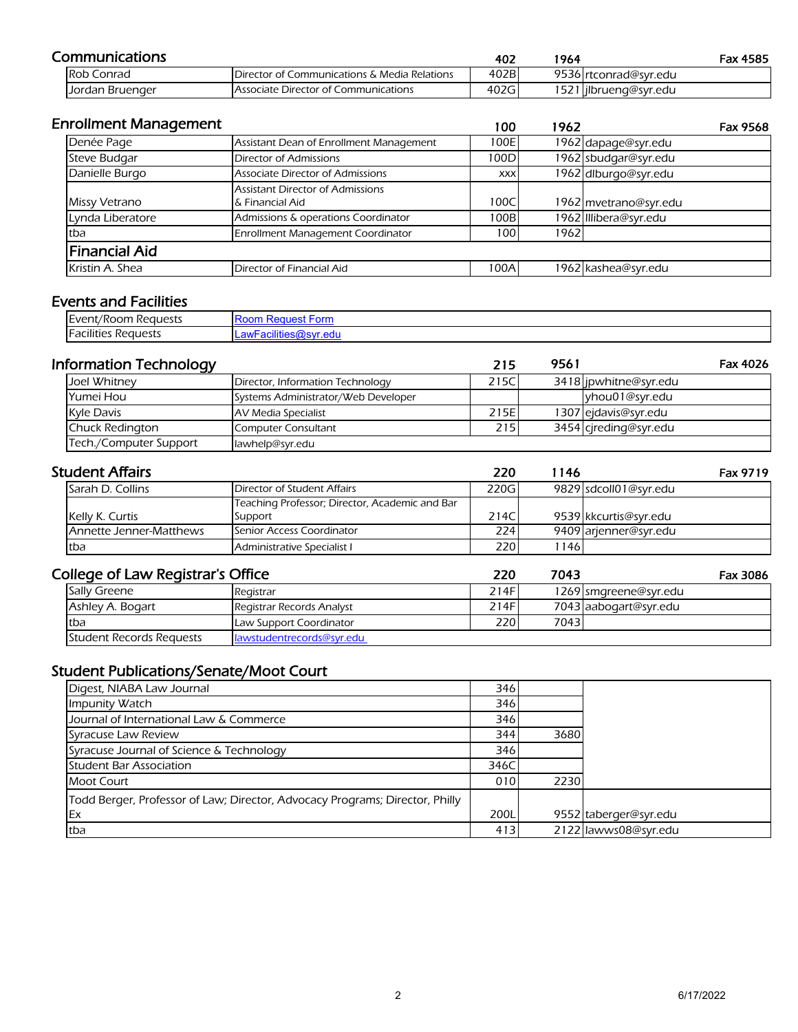| Communications    |                                              | 402  | '964 |                        | Fax 4585 |
|-------------------|----------------------------------------------|------|------|------------------------|----------|
| <b>Rob Conrad</b> | Director of Communications & Media Relations | 402B |      | 9536 rtconrad@svr.edu  |          |
| Jordan Bruenger   | Associate Director of Communications         | 402G |      | 1521 lilbrueng@syr.edu |          |

| <b>Enrollment Management</b> |                                                            | 100        | 1962 | Fax 9568              |
|------------------------------|------------------------------------------------------------|------------|------|-----------------------|
| Denée Page                   | Assistant Dean of Enrollment Management                    | 100E       |      | 1962 dapage@syr.edu   |
| Steve Budgar                 | <b>Director of Admissions</b>                              | 100D       |      | 1962 sbudgar@syr.edu  |
| Danielle Burgo               | Associate Director of Admissions                           | <b>XXX</b> |      | 1962 dlburgo@syr.edu  |
| Missy Vetrano                | <b>Assistant Director of Admissions</b><br>& Financial Aid | 100C       |      | 1962 mvetrano@syr.edu |
| Lynda Liberatore             | Admissions & operations Coordinator                        | 100B       |      | 1962 Illibera@syr.edu |
| tba                          | Enrollment Management Coordinator                          | 1001       | 1962 |                       |
| lFinancial Aid               |                                                            |            |      |                       |
| Kristin A. Shea              | Director of Financial Aid                                  | 100A       |      | 1962 kashea@syr.edu   |

#### Events and Facilities

| $\overline{\phantom{a}}$<br>-<br>n Reauests<br><b>I</b> Lvent<br>ent/Room | nuesi<br>l∺on… |
|---------------------------------------------------------------------------|----------------|
| .<br><br>-<br>-acilities<br>: Reauests                                    | ---------      |

| <b>Information Technology</b> |                                     | 215          | 9561 | Fax 4026              |  |
|-------------------------------|-------------------------------------|--------------|------|-----------------------|--|
| Joel Whitney                  | Director, Information Technology    | 215C         |      | 3418 jpwhitne@syr.edu |  |
| Yumei Hou                     | Systems Administrator/Web Developer |              |      | yhou01@syr.edu        |  |
| <b>Kyle Davis</b>             | AV Media Specialist                 | 215E         |      | 1307 ejdavis@syr.edu  |  |
| <b>Chuck Redington</b>        | Computer Consultant                 | 215 <b>1</b> |      | 3454 cjreding@syr.edu |  |
| Tech./Computer Support        | lawhelp@syr.edu                     |              |      |                       |  |

| <b>Student Affairs</b>  |                                                | 220   | 1146 | <b>Fax 9719</b>       |
|-------------------------|------------------------------------------------|-------|------|-----------------------|
| Sarah D. Collins        | Director of Student Affairs                    | 220G  |      | 9829 sdcoll01@syr.edu |
|                         | Teaching Professor; Director, Academic and Bar |       |      |                       |
| Kelly K. Curtis         | Support                                        | 214C  |      | 9539 kkcurtis@svr.edu |
| Annette Jenner-Matthews | Senior Access Coordinator                      | 224 I |      | 9409 arienner@svr.edu |
| tba                     | Administrative Specialist I                    | 220   | 146  |                       |

#### College of Law Registrar's Office

| ollege of Law Registrar's Office |                           | 220  | 7043 |                       | Fax 3086 |
|----------------------------------|---------------------------|------|------|-----------------------|----------|
| Sally Greene                     | Registrar                 | 214F |      | 1269 smgreene@syr.edu |          |
| Ashley A. Bogart                 | Registrar Records Analyst | 214F |      | 7043 aabogart@syr.edu |          |
| tba                              | Law Support Coordinator   | 220  | 7043 |                       |          |
| Student Records Requests         | lawstudentrecords@syr.edu |      |      |                       |          |

# Student Publications/Senate/Moot Court

| Digest, NIABA Law Journal                                                    | 346  |      |                       |
|------------------------------------------------------------------------------|------|------|-----------------------|
| Impunity Watch                                                               | 346  |      |                       |
| Journal of International Law & Commerce                                      | 346  |      |                       |
| Syracuse Law Review                                                          | 344  | 3680 |                       |
| Syracuse Journal of Science & Technology                                     | 346  |      |                       |
| <b>Student Bar Association</b>                                               | 346C |      |                       |
| <b>Moot Court</b>                                                            | 010  | 2230 |                       |
| Todd Berger, Professor of Law; Director, Advocacy Programs; Director, Philly |      |      |                       |
| <b>Ex</b>                                                                    | 200L |      | 9552 taberger@syr.edu |
| tba                                                                          | 413  |      | 2122 lawws08@syr.edu  |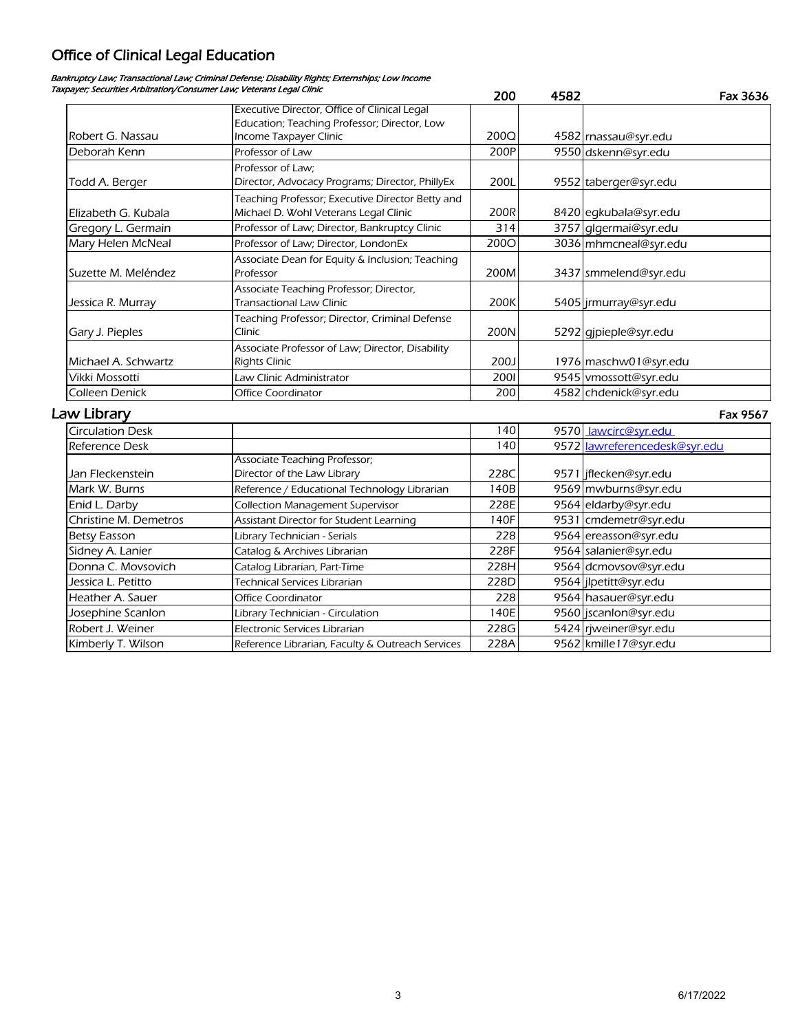# Office of Clinical Legal Education

#### Bankruptcy Law; Transactional Law; Criminal Defense; Disability Rights; Externships; Low Income Taxpayer; Securities Arbitration/Consumer Law; Veterans Legal Clinic

|                         |                                                  | 200         | 4582 | Fax 3636                      |
|-------------------------|--------------------------------------------------|-------------|------|-------------------------------|
|                         | Executive Director, Office of Clinical Legal     |             |      |                               |
|                         | Education; Teaching Professor; Director, Low     |             |      |                               |
| Robert G. Nassau        | Income Taxpayer Clinic                           | 200Q        |      | 4582 rnassau@syr.edu          |
| Deborah Kenn            | Professor of Law                                 | 200P        |      | 9550 dskenn@syr.edu           |
|                         | Professor of Law;                                |             |      |                               |
| Todd A. Berger          | Director, Advocacy Programs; Director, PhillyEx  | 200L        |      | 9552 taberger@syr.edu         |
|                         | Teaching Professor; Executive Director Betty and |             |      |                               |
| Elizabeth G. Kubala     | Michael D. Wohl Veterans Legal Clinic            | 200R        |      | 8420 egkubala@syr.edu         |
| Gregory L. Germain      | Professor of Law; Director, Bankruptcy Clinic    | 314         |      | 3757 glgermai@syr.edu         |
| Mary Helen McNeal       | Professor of Law: Director, LondonEx             | <b>200O</b> |      | 3036 mhmcneal@syr.edu         |
|                         | Associate Dean for Equity & Inclusion; Teaching  |             |      |                               |
| Suzette M. Meléndez     | Professor                                        | 200M        |      | 3437 smmelend@syr.edu         |
|                         | Associate Teaching Professor; Director,          |             |      |                               |
| Jessica R. Murray       | <b>Transactional Law Clinic</b>                  | 200K        |      | 5405 jrmurray@syr.edu         |
|                         | Teaching Professor; Director, Criminal Defense   |             |      |                               |
| Gary J. Pieples         | Clinic                                           | 200N        |      | 5292 gjpieple@syr.edu         |
|                         | Associate Professor of Law; Director, Disability |             |      |                               |
| Michael A. Schwartz     | <b>Rights Clinic</b>                             | 200J        |      | 1976 maschw01@syr.edu         |
| Vikki Mossotti          | Law Clinic Administrator                         | 2001        |      | 9545 vmossott@syr.edu         |
| Colleen Denick          | Office Coordinator                               | 200         |      | 4582 chdenick@syr.edu         |
| Law Library             |                                                  |             |      | Fax 9567                      |
| <b>Circulation Desk</b> |                                                  | 140         |      | 9570 <u>lawcirc@syr.edu</u>   |
| Reference Desk          |                                                  | 140         |      | 9572 lawreferencedesk@syr.edu |
|                         | Associate Teaching Professor;                    |             |      |                               |
| Jan Fleckenstein        | Director of the Law Library                      | 228C        |      | 9571 jflecken@syr.edu         |
| Mark W. Burns           | Reference / Educational Technology Librarian     | 140B        |      | 9569 mwburns@syr.edu          |
| Enid L. Darby           | <b>Collection Management Supervisor</b>          | 228E        |      | 9564 eldarby@syr.edu          |
| Christine M. Demetros   | Assistant Director for Student Learning          | 140F        |      | 9531 cmdemetr@syr.edu         |
| <b>Betsy Easson</b>     | Library Technician - Serials                     | 228         |      | 9564 ereasson@syr.edu         |
| Sidney A. Lanier        | Catalog & Archives Librarian                     | 228F        |      | 9564 salanier@syr.edu         |
| Donna C. Movsovich      | Catalog Librarian, Part-Time                     | 228H        |      | 9564 dcmovsov@syr.edu         |
| Jessica L. Petitto      | <b>Technical Services Librarian</b>              | 228D        |      | 9564 jlpetitt@syr.edu         |
| Heather A. Sauer        | Office Coordinator                               | 228         |      | 9564 hasauer@syr.edu          |
| Josephine Scanlon       | Library Technician - Circulation                 | 140E        |      | 9560 jscanlon@syr.edu         |
| Robert J. Weiner        | Electronic Services Librarian                    | 228G        |      | 5424 rjweiner@syr.edu         |
| Kimberly T. Wilson      | Reference Librarian, Faculty & Outreach Services | 228A        |      | 9562 kmille 17@syr.edu        |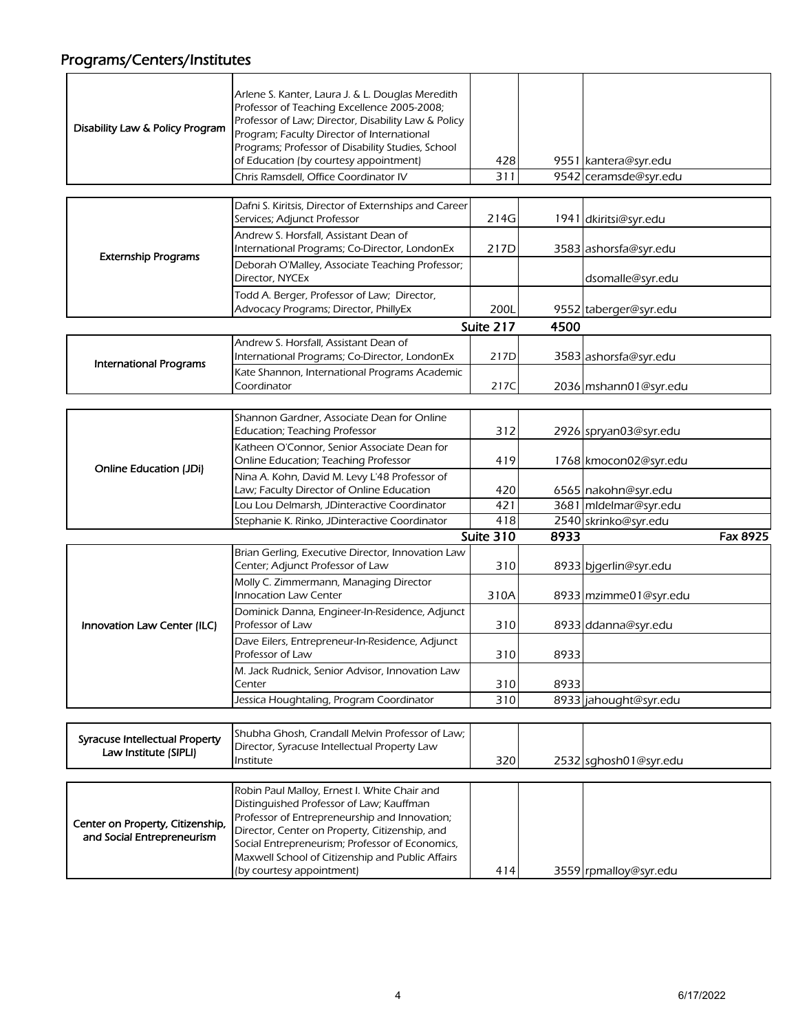# Programs/Centers/Institutes

|                                                                | Arlene S. Kanter, Laura J. & L. Douglas Meredith                                                                                                                                                                                                                                                   |           |      |                       |          |
|----------------------------------------------------------------|----------------------------------------------------------------------------------------------------------------------------------------------------------------------------------------------------------------------------------------------------------------------------------------------------|-----------|------|-----------------------|----------|
| Disability Law & Policy Program                                | Professor of Teaching Excellence 2005-2008;<br>Professor of Law; Director, Disability Law & Policy<br>Program; Faculty Director of International                                                                                                                                                   |           |      |                       |          |
|                                                                | Programs; Professor of Disability Studies, School                                                                                                                                                                                                                                                  |           |      |                       |          |
|                                                                | of Education (by courtesy appointment)                                                                                                                                                                                                                                                             | 428       |      | 9551 kantera@syr.edu  |          |
|                                                                | Chris Ramsdell, Office Coordinator IV                                                                                                                                                                                                                                                              | 311       |      | 9542 ceramsde@syr.edu |          |
|                                                                |                                                                                                                                                                                                                                                                                                    |           |      |                       |          |
|                                                                | Dafni S. Kiritsis, Director of Externships and Career<br>Services; Adjunct Professor                                                                                                                                                                                                               | 214G      |      | 1941 dkiritsi@syr.edu |          |
| <b>Externship Programs</b>                                     | Andrew S. Horsfall, Assistant Dean of<br>International Programs; Co-Director, LondonEx                                                                                                                                                                                                             | 217D      |      | 3583 ashorsfa@syr.edu |          |
|                                                                | Deborah O'Malley, Associate Teaching Professor;<br>Director, NYCEx                                                                                                                                                                                                                                 |           |      | dsomalle@syr.edu      |          |
|                                                                | Todd A. Berger, Professor of Law; Director,<br>Advocacy Programs; Director, PhillyEx                                                                                                                                                                                                               | 200L      |      | 9552 taberger@syr.edu |          |
|                                                                |                                                                                                                                                                                                                                                                                                    | Suite 217 | 4500 |                       |          |
|                                                                | Andrew S. Horsfall, Assistant Dean of<br>International Programs; Co-Director, LondonEx                                                                                                                                                                                                             | 217D      |      | 3583 ashorsfa@syr.edu |          |
| <b>International Programs</b>                                  | Kate Shannon, International Programs Academic<br>Coordinator                                                                                                                                                                                                                                       | 217C      |      | 2036 mshann01@syr.edu |          |
|                                                                |                                                                                                                                                                                                                                                                                                    |           |      |                       |          |
|                                                                | Shannon Gardner, Associate Dean for Online                                                                                                                                                                                                                                                         |           |      |                       |          |
|                                                                | <b>Education; Teaching Professor</b>                                                                                                                                                                                                                                                               | 312       |      | 2926 spryan03@syr.edu |          |
| <b>Online Education (JDi)</b>                                  | Katheen O'Connor, Senior Associate Dean for<br>Online Education; Teaching Professor                                                                                                                                                                                                                | 419       |      | 1768 kmocon02@syr.edu |          |
|                                                                | Nina A. Kohn, David M. Levy L'48 Professor of                                                                                                                                                                                                                                                      |           |      |                       |          |
|                                                                | Law; Faculty Director of Online Education                                                                                                                                                                                                                                                          | 420       |      | 6565 nakohn@syr.edu   |          |
|                                                                | Lou Lou Delmarsh, JDinteractive Coordinator                                                                                                                                                                                                                                                        | 421       |      | 3681 mldelmar@syr.edu |          |
|                                                                | Stephanie K. Rinko, JDinteractive Coordinator                                                                                                                                                                                                                                                      | 418       |      | 2540 skrinko@syr.edu  |          |
|                                                                |                                                                                                                                                                                                                                                                                                    | Suite 310 | 8933 |                       | Fax 8925 |
|                                                                | Brian Gerling, Executive Director, Innovation Law<br>Center; Adjunct Professor of Law                                                                                                                                                                                                              | 310       |      | 8933 bjgerlin@syr.edu |          |
|                                                                | Molly C. Zimmermann, Managing Director<br><b>Innocation Law Center</b>                                                                                                                                                                                                                             | 310A      |      | 8933 mzimme01@syr.edu |          |
| Innovation Law Center (ILC)                                    | Dominick Danna, Engineer-In-Residence, Adjunct<br>Professor of Law                                                                                                                                                                                                                                 | 310       |      | 8933 ddanna@syr.edu   |          |
|                                                                | Dave Eilers, Entrepreneur-In-Residence, Adjunct<br>Professor of Law                                                                                                                                                                                                                                | 310       | 8933 |                       |          |
|                                                                | M. Jack Rudnick, Senior Advisor, Innovation Law                                                                                                                                                                                                                                                    |           |      |                       |          |
|                                                                | Center                                                                                                                                                                                                                                                                                             | 310       | 8933 |                       |          |
|                                                                | Jessica Houghtaling, Program Coordinator                                                                                                                                                                                                                                                           | 310       |      | 8933 jahought@syr.edu |          |
|                                                                |                                                                                                                                                                                                                                                                                                    |           |      |                       |          |
| Syracuse Intellectual Property                                 | Shubha Ghosh, Crandall Melvin Professor of Law;<br>Director, Syracuse Intellectual Property Law                                                                                                                                                                                                    |           |      |                       |          |
| Law Institute (SIPLI)                                          | Institute                                                                                                                                                                                                                                                                                          | 320       |      | 2532 sghosh01@syr.edu |          |
|                                                                |                                                                                                                                                                                                                                                                                                    |           |      |                       |          |
|                                                                |                                                                                                                                                                                                                                                                                                    |           |      |                       |          |
| Center on Property, Citizenship,<br>and Social Entrepreneurism | Robin Paul Malloy, Ernest I. White Chair and<br>Distinguished Professor of Law; Kauffman<br>Professor of Entrepreneurship and Innovation;<br>Director, Center on Property, Citizenship, and<br>Social Entrepreneurism; Professor of Economics,<br>Maxwell School of Citizenship and Public Affairs |           |      |                       |          |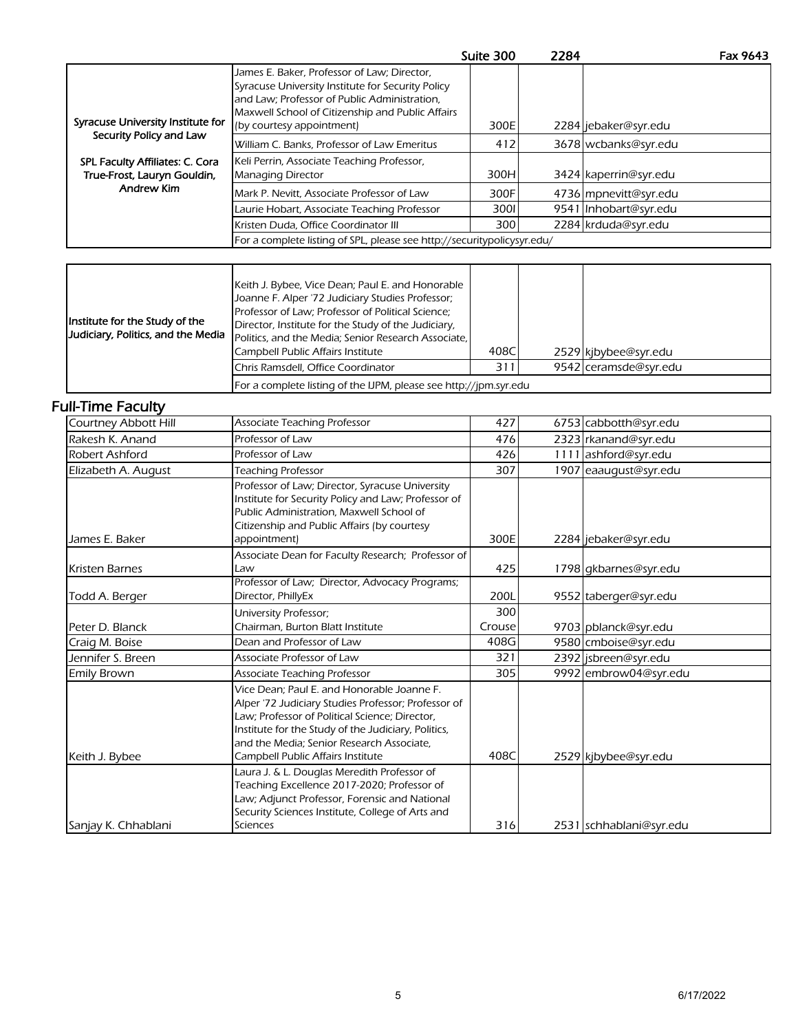|                                                                |                                                                                                                                                                                                                                   | Suite 300 | 2284 | Fax 9643              |
|----------------------------------------------------------------|-----------------------------------------------------------------------------------------------------------------------------------------------------------------------------------------------------------------------------------|-----------|------|-----------------------|
| Syracuse University Institute for                              | James E. Baker, Professor of Law; Director,<br>Syracuse University Institute for Security Policy<br>and Law; Professor of Public Administration,<br>Maxwell School of Citizenship and Public Affairs<br>(by courtesy appointment) | 300E      |      | 2284 jebaker@syr.edu  |
| Security Policy and Law                                        | William C. Banks, Professor of Law Emeritus                                                                                                                                                                                       | 412       |      | 3678 wcbanks@syr.edu  |
|                                                                |                                                                                                                                                                                                                                   |           |      |                       |
| SPL Faculty Affiliates: C. Cora<br>True-Frost, Lauryn Gouldin, | Keli Perrin, Associate Teaching Professor,<br><b>Managing Director</b>                                                                                                                                                            | 300H      |      | 3424 kaperrin@syr.edu |
| <b>Andrew Kim</b>                                              | Mark P. Nevitt, Associate Professor of Law                                                                                                                                                                                        | 300F      |      | 4736 mpnevitt@syr.edu |
|                                                                | Laurie Hobart, Associate Teaching Professor                                                                                                                                                                                       | 3001      |      | 9541 Inhobart@syr.edu |
|                                                                | Kristen Duda, Office Coordinator III                                                                                                                                                                                              | 300       |      | 2284 krduda@syr.edu   |
|                                                                | For a complete listing of SPL, please see http://securitypolicysyr.edu/                                                                                                                                                           |           |      |                       |
|                                                                |                                                                                                                                                                                                                                   |           |      |                       |

| Institute for the Study of the<br>Judiciary, Politics, and the Media | Keith J. Bybee, Vice Dean; Paul E. and Honorable<br>Joanne F. Alper '72 Judiciary Studies Professor;<br>Professor of Law; Professor of Political Science;<br>Director, Institute for the Study of the Judiciary,<br>Politics, and the Media; Senior Research Associate,<br>Campbell Public Affairs Institute | 408C |  | 2529 kibybee@syr.edu  |
|----------------------------------------------------------------------|--------------------------------------------------------------------------------------------------------------------------------------------------------------------------------------------------------------------------------------------------------------------------------------------------------------|------|--|-----------------------|
|                                                                      | Chris Ramsdell, Office Coordinator                                                                                                                                                                                                                                                                           | 31   |  | 9542 ceramsde@syr.edu |
|                                                                      | For a complete listing of the IJPM, please see http://jpm.syr.edu                                                                                                                                                                                                                                            |      |  |                       |

## Full-Time Faculty

| Courtney Abbott Hill  | <b>Associate Teaching Professor</b>                                                                                                                                                                                                                                                          | 427    | 6753 cabbotth@syr.edu   |
|-----------------------|----------------------------------------------------------------------------------------------------------------------------------------------------------------------------------------------------------------------------------------------------------------------------------------------|--------|-------------------------|
| Rakesh K. Anand       | Professor of Law                                                                                                                                                                                                                                                                             | 476    | 2323 rkanand@syr.edu    |
| Robert Ashford        | Professor of Law                                                                                                                                                                                                                                                                             | 426    | 1111 ashford@syr.edu    |
| Elizabeth A. August   | <b>Teaching Professor</b>                                                                                                                                                                                                                                                                    | 307    | 1907 eaaugust@syr.edu   |
| James E. Baker        | Professor of Law; Director, Syracuse University<br>Institute for Security Policy and Law; Professor of<br>Public Administration, Maxwell School of<br>Citizenship and Public Affairs (by courtesy<br>appointment)                                                                            | 300E   | 2284 jebaker@syr.edu    |
| <b>Kristen Barnes</b> | Associate Dean for Faculty Research; Professor of<br>Law                                                                                                                                                                                                                                     | 425    | 1798 gkbarnes@syr.edu   |
| Todd A. Berger        | Professor of Law; Director, Advocacy Programs;<br>Director, PhillyEx                                                                                                                                                                                                                         | 200L   | 9552 taberger@syr.edu   |
|                       | University Professor;                                                                                                                                                                                                                                                                        | 300    |                         |
| Peter D. Blanck       | Chairman, Burton Blatt Institute                                                                                                                                                                                                                                                             | Crouse | 9703 pblanck@syr.edu    |
| Craig M. Boise        | Dean and Professor of Law                                                                                                                                                                                                                                                                    | 408G   | 9580 cmboise@syr.edu    |
| Jennifer S. Breen     | Associate Professor of Law                                                                                                                                                                                                                                                                   | 321    | 2392 jsbreen@syr.edu    |
| <b>Emily Brown</b>    | <b>Associate Teaching Professor</b>                                                                                                                                                                                                                                                          | 305    | 9992 embrow04@syr.edu   |
| Keith J. Bybee        | Vice Dean; Paul E. and Honorable Joanne F.<br>Alper '72 Judiciary Studies Professor; Professor of<br>Law; Professor of Political Science; Director,<br>Institute for the Study of the Judiciary, Politics,<br>and the Media; Senior Research Associate,<br>Campbell Public Affairs Institute | 408C   | 2529 kjbybee@syr.edu    |
| Sanjay K. Chhablani   | Laura J. & L. Douglas Meredith Professor of<br>Teaching Excellence 2017-2020; Professor of<br>Law; Adjunct Professor, Forensic and National<br>Security Sciences Institute, College of Arts and<br>Sciences                                                                                  | 316    | 2531 schhablani@syr.edu |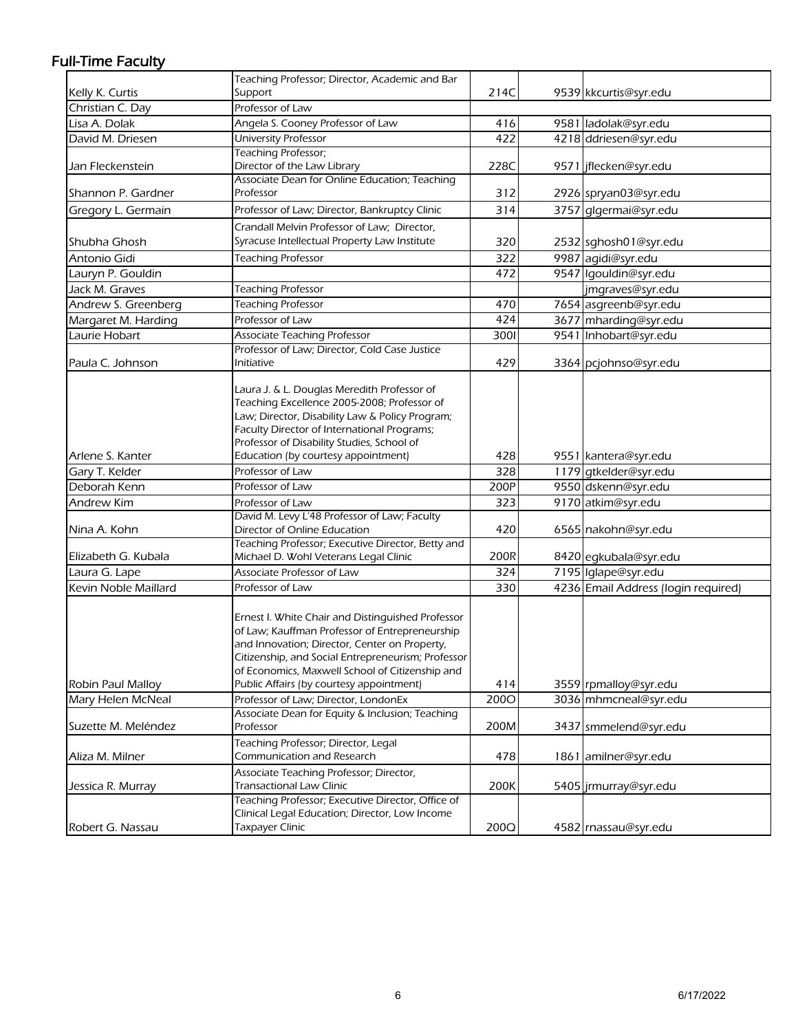## Full-Time Faculty

|                      | Teaching Professor; Director, Academic and Bar                                                                                                                                                                                                                                                            |      |                                     |
|----------------------|-----------------------------------------------------------------------------------------------------------------------------------------------------------------------------------------------------------------------------------------------------------------------------------------------------------|------|-------------------------------------|
| Kelly K. Curtis      | Support                                                                                                                                                                                                                                                                                                   | 214C | 9539 kkcurtis@syr.edu               |
| Christian C. Day     | Professor of Law                                                                                                                                                                                                                                                                                          |      |                                     |
| Lisa A. Dolak        | Angela S. Cooney Professor of Law                                                                                                                                                                                                                                                                         | 416  | 9581 ladolak@syr.edu                |
| David M. Driesen     | University Professor                                                                                                                                                                                                                                                                                      | 422  | 4218 ddriesen@syr.edu               |
| Jan Fleckenstein     | Teaching Professor;<br>Director of the Law Library                                                                                                                                                                                                                                                        | 228C | 9571 jflecken@syr.edu               |
| Shannon P. Gardner   | Associate Dean for Online Education; Teaching<br>Professor                                                                                                                                                                                                                                                | 312  | 2926 spryan03@syr.edu               |
| Gregory L. Germain   | Professor of Law; Director, Bankruptcy Clinic                                                                                                                                                                                                                                                             | 314  | 3757 glgermai@syr.edu               |
| Shubha Ghosh         | Crandall Melvin Professor of Law; Director,<br>Syracuse Intellectual Property Law Institute                                                                                                                                                                                                               | 320  | 2532 sghosh01@syr.edu               |
| Antonio Gidi         | <b>Teaching Professor</b>                                                                                                                                                                                                                                                                                 | 322  | 9987 agidi@syr.edu                  |
| Lauryn P. Gouldin    |                                                                                                                                                                                                                                                                                                           | 472  | 9547 Igouldin@syr.edu               |
| Jack M. Graves       | <b>Teaching Professor</b>                                                                                                                                                                                                                                                                                 |      | jmgraves@syr.edu                    |
| Andrew S. Greenberg  | <b>Teaching Professor</b>                                                                                                                                                                                                                                                                                 | 470  | 7654 asgreenb@syr.edu               |
| Margaret M. Harding  | Professor of Law                                                                                                                                                                                                                                                                                          | 424  | 3677 mharding@syr.edu               |
| Laurie Hobart        | Associate Teaching Professor                                                                                                                                                                                                                                                                              | 3001 | 9541 Inhobart@syr.edu               |
|                      | Professor of Law; Director, Cold Case Justice                                                                                                                                                                                                                                                             |      |                                     |
| Paula C. Johnson     | Initiative                                                                                                                                                                                                                                                                                                | 429  | 3364 pcjohnso@syr.edu               |
| Arlene S. Kanter     | Laura J. & L. Douglas Meredith Professor of<br>Teaching Excellence 2005-2008; Professor of<br>Law; Director, Disability Law & Policy Program;<br>Faculty Director of International Programs;<br>Professor of Disability Studies, School of<br>Education (by courtesy appointment)                         | 428  | 9551 kantera@syr.edu                |
| Gary T. Kelder       | Professor of Law                                                                                                                                                                                                                                                                                          | 328  | 1179 gtkelder@syr.edu               |
| Deborah Kenn         | Professor of Law                                                                                                                                                                                                                                                                                          | 200P | 9550 dskenn@syr.edu                 |
| Andrew Kim           | Professor of Law                                                                                                                                                                                                                                                                                          | 323  | 9170 atkim@syr.edu                  |
| Nina A. Kohn         | David M. Levy L'48 Professor of Law; Faculty<br>Director of Online Education                                                                                                                                                                                                                              | 420  | 6565 nakohn@syr.edu                 |
| Elizabeth G. Kubala  | Teaching Professor; Executive Director, Betty and<br>Michael D. Wohl Veterans Legal Clinic                                                                                                                                                                                                                | 200R | 8420 egkubala@syr.edu               |
| Laura G. Lape        | Associate Professor of Law                                                                                                                                                                                                                                                                                | 324  | 7195 Iglape@syr.edu                 |
| Kevin Noble Maillard | Professor of Law                                                                                                                                                                                                                                                                                          | 330  | 4236 Email Address (login required) |
| Robin Paul Malloy    | Ernest I. White Chair and Distinguished Professor<br>of Law; Kauffman Professor of Entrepreneurship<br>and Innovation; Director, Center on Property,<br>Citizenship, and Social Entrepreneurism; Professor<br>of Economics, Maxwell School of Citizenship and<br>Public Affairs (by courtesy appointment) | 414  | 3559 rpmalloy@syr.edu               |
| Mary Helen McNeal    | Professor of Law; Director, LondonEx                                                                                                                                                                                                                                                                      | 2000 | 3036 mhmcneal@syr.edu               |
| Suzette M. Meléndez  | Associate Dean for Equity & Inclusion; Teaching<br>Professor                                                                                                                                                                                                                                              | 200M | 3437 smmelend@syr.edu               |
| Aliza M. Milner      | Teaching Professor; Director, Legal<br>Communication and Research                                                                                                                                                                                                                                         | 478  | 1861 amilner@syr.edu                |
| Jessica R. Murray    | Associate Teaching Professor; Director,<br><b>Transactional Law Clinic</b>                                                                                                                                                                                                                                | 200K | 5405 jrmurray@syr.edu               |
| Robert G. Nassau     | Teaching Professor; Executive Director, Office of<br>Clinical Legal Education; Director, Low Income<br><b>Taxpayer Clinic</b>                                                                                                                                                                             | 200Q | 4582 rnassau@syr.edu                |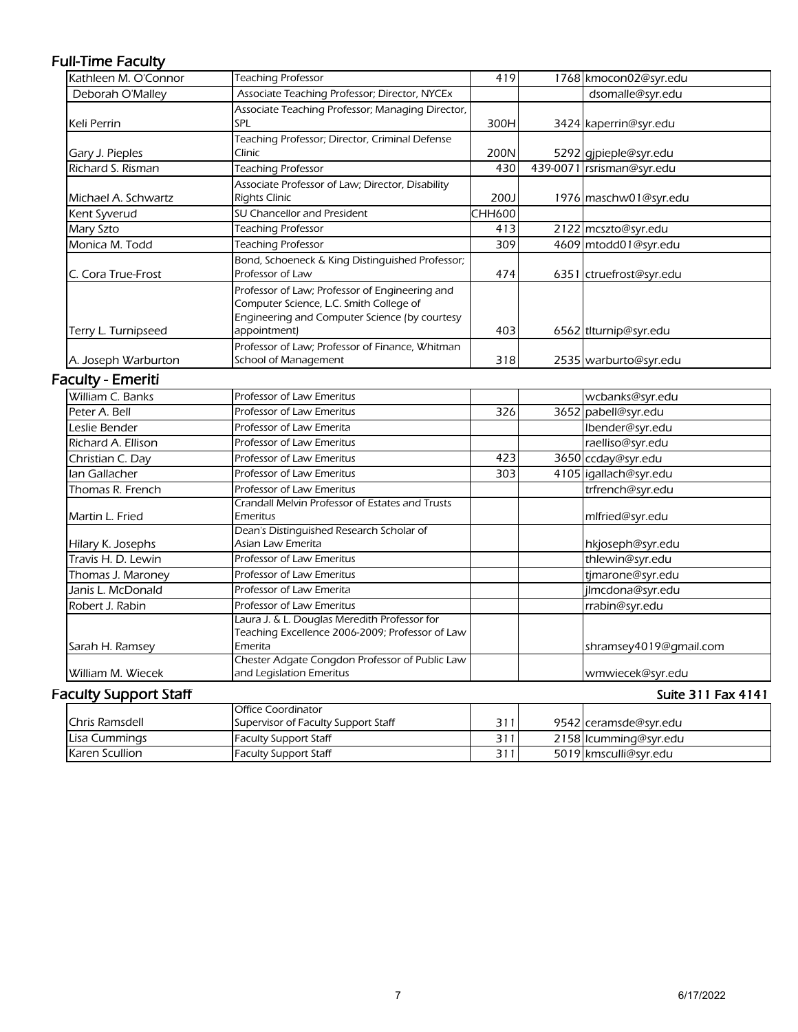## Full-Time Faculty

| <b>Teaching Professor</b>                        | 419                                                                                                                                                                                                                                                                                                                                                                                                                                                                                                                                                 |            | 1768 kmocon02@syr.edu     |
|--------------------------------------------------|-----------------------------------------------------------------------------------------------------------------------------------------------------------------------------------------------------------------------------------------------------------------------------------------------------------------------------------------------------------------------------------------------------------------------------------------------------------------------------------------------------------------------------------------------------|------------|---------------------------|
| Associate Teaching Professor; Director, NYCEx    |                                                                                                                                                                                                                                                                                                                                                                                                                                                                                                                                                     |            | dsomalle@syr.edu          |
| Associate Teaching Professor; Managing Director, |                                                                                                                                                                                                                                                                                                                                                                                                                                                                                                                                                     |            |                           |
| SPL                                              | 300H                                                                                                                                                                                                                                                                                                                                                                                                                                                                                                                                                |            | 3424 kaperrin@syr.edu     |
| Teaching Professor; Director, Criminal Defense   |                                                                                                                                                                                                                                                                                                                                                                                                                                                                                                                                                     |            |                           |
| Clinic                                           | 200N                                                                                                                                                                                                                                                                                                                                                                                                                                                                                                                                                |            | 5292 gjpieple@syr.edu     |
| <b>Teaching Professor</b>                        | 430                                                                                                                                                                                                                                                                                                                                                                                                                                                                                                                                                 |            | 439-0071 rsrisman@syr.edu |
| Associate Professor of Law; Director, Disability |                                                                                                                                                                                                                                                                                                                                                                                                                                                                                                                                                     |            |                           |
| <b>Rights Clinic</b>                             | 200J                                                                                                                                                                                                                                                                                                                                                                                                                                                                                                                                                |            | 1976 maschw01@syr.edu     |
| SU Chancellor and President                      | <b>CHH600</b>                                                                                                                                                                                                                                                                                                                                                                                                                                                                                                                                       |            |                           |
| <b>Teaching Professor</b>                        | 413                                                                                                                                                                                                                                                                                                                                                                                                                                                                                                                                                 |            | 2122 mcszto@syr.edu       |
| <b>Teaching Professor</b>                        | 309                                                                                                                                                                                                                                                                                                                                                                                                                                                                                                                                                 |            | 4609 mtodd01@syr.edu      |
| Bond, Schoeneck & King Distinguished Professor;  |                                                                                                                                                                                                                                                                                                                                                                                                                                                                                                                                                     |            |                           |
| Professor of Law                                 | 474                                                                                                                                                                                                                                                                                                                                                                                                                                                                                                                                                 |            | 6351 ctruefrost@syr.edu   |
| Professor of Law; Professor of Engineering and   |                                                                                                                                                                                                                                                                                                                                                                                                                                                                                                                                                     |            |                           |
|                                                  |                                                                                                                                                                                                                                                                                                                                                                                                                                                                                                                                                     |            |                           |
|                                                  |                                                                                                                                                                                                                                                                                                                                                                                                                                                                                                                                                     |            |                           |
|                                                  |                                                                                                                                                                                                                                                                                                                                                                                                                                                                                                                                                     |            | 6562 tlturnip@syr.edu     |
|                                                  |                                                                                                                                                                                                                                                                                                                                                                                                                                                                                                                                                     |            |                           |
|                                                  |                                                                                                                                                                                                                                                                                                                                                                                                                                                                                                                                                     |            | 2535 warburto@syr.edu     |
|                                                  |                                                                                                                                                                                                                                                                                                                                                                                                                                                                                                                                                     |            |                           |
| Professor of Law Emeritus                        |                                                                                                                                                                                                                                                                                                                                                                                                                                                                                                                                                     |            | wcbanks@syr.edu           |
| Professor of Law Emeritus                        | 326                                                                                                                                                                                                                                                                                                                                                                                                                                                                                                                                                 |            | 3652 pabell@syr.edu       |
| Professor of Law Emerita                         |                                                                                                                                                                                                                                                                                                                                                                                                                                                                                                                                                     |            | Ibender@syr.edu           |
| Professor of Law Emeritus                        |                                                                                                                                                                                                                                                                                                                                                                                                                                                                                                                                                     |            | raelliso@syr.edu          |
| Professor of Law Emeritus                        | 423                                                                                                                                                                                                                                                                                                                                                                                                                                                                                                                                                 |            | 3650 ccday@syr.edu        |
| <b>Professor of Law Emeritus</b>                 | 303                                                                                                                                                                                                                                                                                                                                                                                                                                                                                                                                                 |            | 4105 igallach@syr.edu     |
| Professor of Law Emeritus                        |                                                                                                                                                                                                                                                                                                                                                                                                                                                                                                                                                     |            | trfrench@syr.edu          |
| Crandall Melvin Professor of Estates and Trusts  |                                                                                                                                                                                                                                                                                                                                                                                                                                                                                                                                                     |            |                           |
|                                                  |                                                                                                                                                                                                                                                                                                                                                                                                                                                                                                                                                     |            | mlfried@syr.edu           |
|                                                  |                                                                                                                                                                                                                                                                                                                                                                                                                                                                                                                                                     |            |                           |
|                                                  |                                                                                                                                                                                                                                                                                                                                                                                                                                                                                                                                                     |            | hkjoseph@syr.edu          |
|                                                  |                                                                                                                                                                                                                                                                                                                                                                                                                                                                                                                                                     |            | thlewin@syr.edu           |
|                                                  |                                                                                                                                                                                                                                                                                                                                                                                                                                                                                                                                                     |            | tjmarone@syr.edu          |
|                                                  |                                                                                                                                                                                                                                                                                                                                                                                                                                                                                                                                                     |            | jlmcdona@syr.edu          |
|                                                  |                                                                                                                                                                                                                                                                                                                                                                                                                                                                                                                                                     |            | rrabin@syr.edu            |
|                                                  |                                                                                                                                                                                                                                                                                                                                                                                                                                                                                                                                                     |            |                           |
|                                                  |                                                                                                                                                                                                                                                                                                                                                                                                                                                                                                                                                     |            | shramsey4019@gmail.com    |
|                                                  |                                                                                                                                                                                                                                                                                                                                                                                                                                                                                                                                                     |            |                           |
| and Legislation Emeritus                         |                                                                                                                                                                                                                                                                                                                                                                                                                                                                                                                                                     |            | wmwiecek@syr.edu          |
|                                                  | Computer Science, L.C. Smith College of<br>Engineering and Computer Science (by courtesy<br>appointment)<br>Professor of Law; Professor of Finance, Whitman<br>School of Management<br>Emeritus<br>Dean's Distinguished Research Scholar of<br>Asian Law Emerita<br>Professor of Law Emeritus<br>Professor of Law Emeritus<br>Professor of Law Emerita<br>Professor of Law Emeritus<br>Laura J. & L. Douglas Meredith Professor for<br>Teaching Excellence 2006-2009; Professor of Law<br>Emerita<br>Chester Adgate Congdon Professor of Public Law | 403<br>318 |                           |

## Faculty Support Staff

#### Suite 311 Fax 4141

|                       | <b>Office Coordinator</b>           |     |                       |
|-----------------------|-------------------------------------|-----|-----------------------|
| <b>Chris Ramsdell</b> | Supervisor of Faculty Support Staff | 311 | 9542 ceramsde@svr.edu |
| Lisa Cummings         | <b>Faculty Support Staff</b>        | 311 | 2158 Icumming@syr.edu |
| Karen Scullion        | Faculty Support Staff               | 311 | 5019 kmsculli@syr.edu |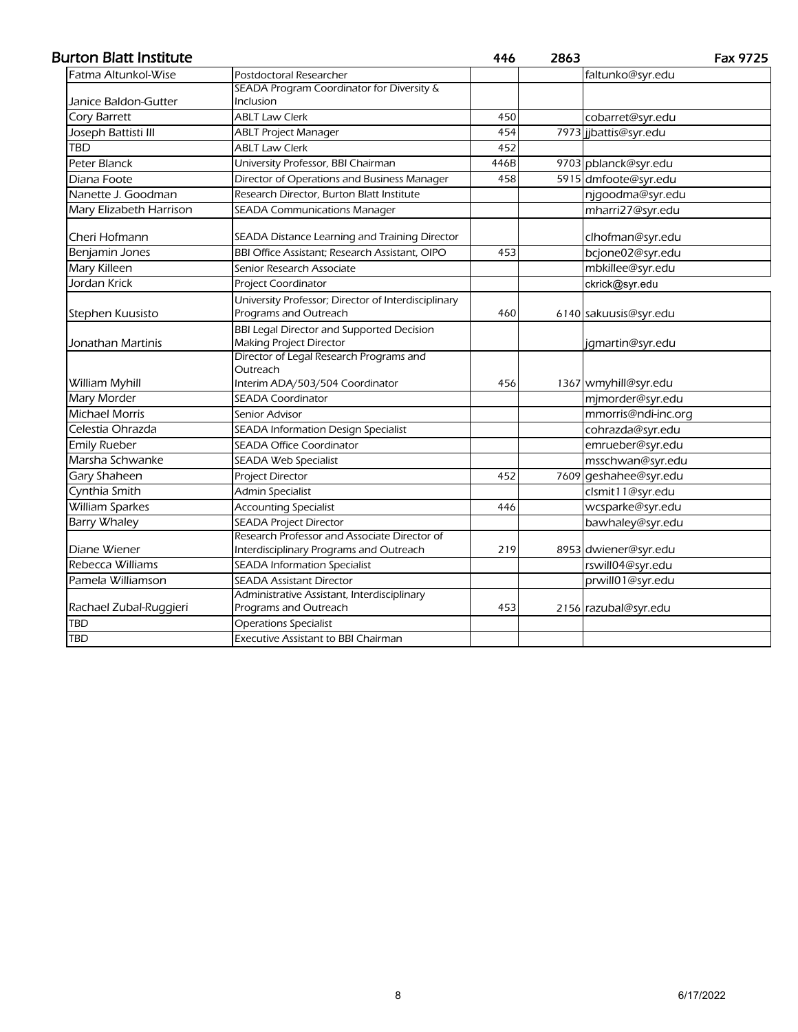#### Burton Blatt Institute

446 2863 Fax 9725

| Fatma Altunkol-Wise     | Postdoctoral Researcher                               |      | faltunko@syr.edu      |
|-------------------------|-------------------------------------------------------|------|-----------------------|
|                         | SEADA Program Coordinator for Diversity &             |      |                       |
| Janice Baldon-Gutter    | <b>Inclusion</b>                                      |      |                       |
| <b>Cory Barrett</b>     | <b>ABLT Law Clerk</b>                                 | 450  | cobarret@syr.edu      |
| Joseph Battisti III     | <b>ABLT Project Manager</b>                           | 454  | 7973 jjbattis@syr.edu |
| TBD                     | <b>ABLT Law Clerk</b>                                 | 452  |                       |
| Peter Blanck            | University Professor, BBI Chairman                    | 446B | 9703 pblanck@syr.edu  |
| Diana Foote             | Director of Operations and Business Manager           | 458  | 5915 dmfoote@syr.edu  |
| Nanette J. Goodman      | Research Director, Burton Blatt Institute             |      | njgoodma@syr.edu      |
| Mary Elizabeth Harrison | SEADA Communications Manager                          |      | mharri27@syr.edu      |
| Cheri Hofmann           | SEADA Distance Learning and Training Director         |      | clhofman@syr.edu      |
| Benjamin Jones          | <b>BBI Office Assistant; Research Assistant, OIPO</b> | 453  | bcjone02@syr.edu      |
| <b>Mary Killeen</b>     | Senior Research Associate                             |      | mbkillee@syr.edu      |
| Jordan Krick            | Project Coordinator                                   |      | ckrick@syr.edu        |
|                         | University Professor; Director of Interdisciplinary   |      |                       |
| Stephen Kuusisto        | Programs and Outreach                                 | 460  | 6140 sakuusis@syr.edu |
|                         | <b>BBI Legal Director and Supported Decision</b>      |      |                       |
| Jonathan Martinis       | Making Project Director                               |      | jgmartin@syr.edu      |
|                         | Director of Legal Research Programs and               |      |                       |
|                         | Outreach<br>Interim ADA/503/504 Coordinator           | 456  |                       |
| William Myhill          | <b>SEADA Coordinator</b>                              |      | 1367 wmyhill@syr.edu  |
| Mary Morder             |                                                       |      | mjmorder@syr.edu      |
| <b>Michael Morris</b>   | Senior Advisor                                        |      | mmorris@ndi-inc.org   |
| Celestia Ohrazda        | SEADA Information Design Specialist                   |      | cohrazda@syr.edu      |
| <b>Emily Rueber</b>     | <b>SEADA Office Coordinator</b>                       |      | emrueber@syr.edu      |
| Marsha Schwanke         | <b>SEADA Web Specialist</b>                           |      | msschwan@syr.edu      |
| Gary Shaheen            | Project Director                                      | 452  | 7609 geshahee@syr.edu |
| Cynthia Smith           | <b>Admin Specialist</b>                               |      | clsmit11@syr.edu      |
| <b>William Sparkes</b>  | <b>Accounting Specialist</b>                          | 446  | wcsparke@syr.edu      |
| <b>Barry Whaley</b>     | <b>SEADA Project Director</b>                         |      | bawhaley@syr.edu      |
|                         | Research Professor and Associate Director of          |      |                       |
| Diane Wiener            | Interdisciplinary Programs and Outreach               | 219  | 8953 dwiener@syr.edu  |
| Rebecca Williams        | <b>SEADA Information Specialist</b>                   |      | rswill04@syr.edu      |
| Pamela Williamson       | <b>SEADA Assistant Director</b>                       |      | prwill01@syr.edu      |
|                         | Administrative Assistant, Interdisciplinary           |      |                       |
| Rachael Zubal-Ruggieri  | Programs and Outreach                                 | 453  | 2156 razubal@syr.edu  |
| <b>TBD</b>              | <b>Operations Specialist</b>                          |      |                       |
| <b>TBD</b>              | <b>Executive Assistant to BBI Chairman</b>            |      |                       |